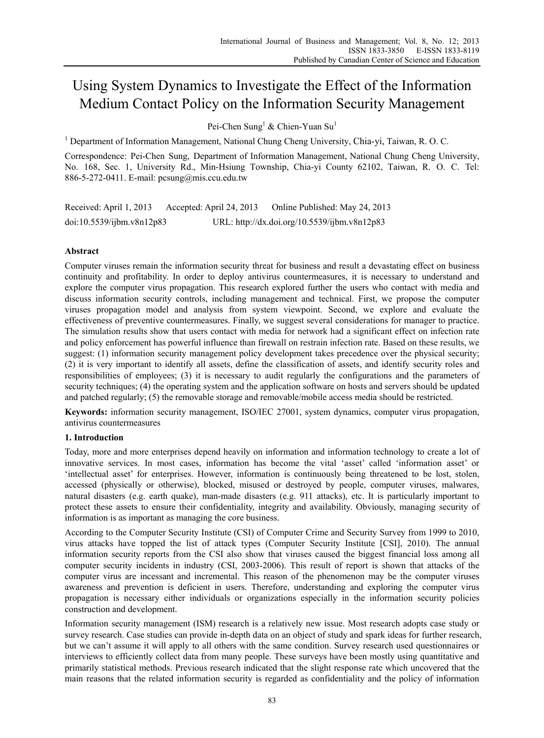# Using System Dynamics to Investigate the Effect of the Information Medium Contact Policy on the Information Security Management

Pei-Chen Sung<sup>1</sup> & Chien-Yuan Su<sup>1</sup>

<sup>1</sup> Department of Information Management, National Chung Cheng University, Chia-yi, Taiwan, R. O. C.

Correspondence: Pei-Chen Sung, Department of Information Management, National Chung Cheng University, No. 168, Sec. 1, University Rd., Min-Hsiung Township, Chia-yi County 62102, Taiwan, R. O. C. Tel: 886-5-272-0411. E-mail: pcsung@mis.ccu.edu.tw

Received: April 1, 2013 Accepted: April 24, 2013 Online Published: May 24, 2013 doi:10.5539/ijbm.v8n12p83 URL: http://dx.doi.org/10.5539/ijbm.v8n12p83

# **Abstract**

Computer viruses remain the information security threat for business and result a devastating effect on business continuity and profitability. In order to deploy antivirus countermeasures, it is necessary to understand and explore the computer virus propagation. This research explored further the users who contact with media and discuss information security controls, including management and technical. First, we propose the computer viruses propagation model and analysis from system viewpoint. Second, we explore and evaluate the effectiveness of preventive countermeasures. Finally, we suggest several considerations for manager to practice. The simulation results show that users contact with media for network had a significant effect on infection rate and policy enforcement has powerful influence than firewall on restrain infection rate. Based on these results, we suggest: (1) information security management policy development takes precedence over the physical security; (2) it is very important to identify all assets, define the classification of assets, and identify security roles and responsibilities of employees; (3) it is necessary to audit regularly the configurations and the parameters of security techniques; (4) the operating system and the application software on hosts and servers should be updated and patched regularly; (5) the removable storage and removable/mobile access media should be restricted.

**Keywords:** information security management, ISO/IEC 27001, system dynamics, computer virus propagation, antivirus countermeasures

### **1. Introduction**

Today, more and more enterprises depend heavily on information and information technology to create a lot of innovative services. In most cases, information has become the vital 'asset' called 'information asset' or 'intellectual asset' for enterprises. However, information is continuously being threatened to be lost, stolen, accessed (physically or otherwise), blocked, misused or destroyed by people, computer viruses, malwares, natural disasters (e.g. earth quake), man-made disasters (e.g. 911 attacks), etc. It is particularly important to protect these assets to ensure their confidentiality, integrity and availability. Obviously, managing security of information is as important as managing the core business.

According to the Computer Security Institute (CSI) of Computer Crime and Security Survey from 1999 to 2010, virus attacks have topped the list of attack types (Computer Security Institute [CSI], 2010). The annual information security reports from the CSI also show that viruses caused the biggest financial loss among all computer security incidents in industry (CSI, 2003-2006). This result of report is shown that attacks of the computer virus are incessant and incremental. This reason of the phenomenon may be the computer viruses awareness and prevention is deficient in users. Therefore, understanding and exploring the computer virus propagation is necessary either individuals or organizations especially in the information security policies construction and development.

Information security management (ISM) research is a relatively new issue. Most research adopts case study or survey research. Case studies can provide in-depth data on an object of study and spark ideas for further research, but we can't assume it will apply to all others with the same condition. Survey research used questionnaires or interviews to efficiently collect data from many people. These surveys have been mostly using quantitative and primarily statistical methods. Previous research indicated that the slight response rate which uncovered that the main reasons that the related information security is regarded as confidentiality and the policy of information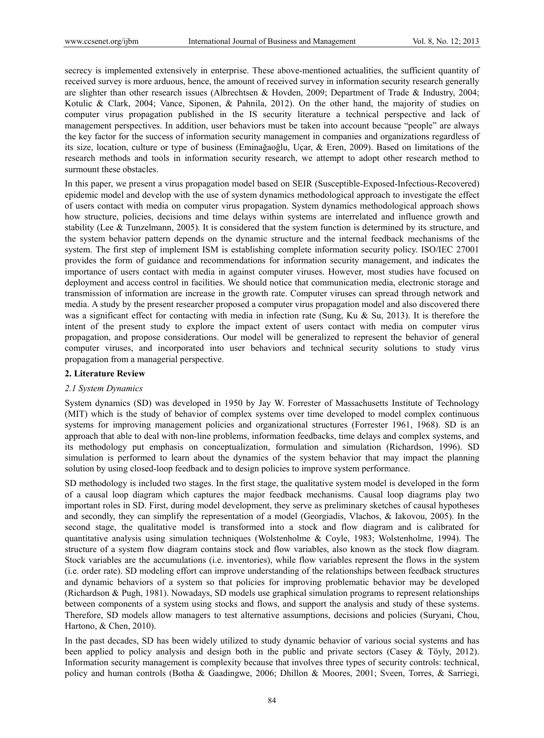secrecy is implemented extensively in enterprise. These above-mentioned actualities, the sufficient quantity of received survey is more arduous, hence, the amount of received survey in information security research generally are slighter than other research issues (Albrechtsen & Hovden, 2009; Department of Trade & Industry, 2004; Kotulic & Clark, 2004; Vance, Siponen, & Pahnila, 2012). On the other hand, the majority of studies on computer virus propagation published in the IS security literature a technical perspective and lack of management perspectives. In addition, user behaviors must be taken into account because "people" are always the key factor for the success of information security management in companies and organizations regardless of its size, location, culture or type of business (Eminağaoğlu, Uçar, & Eren, 2009). Based on limitations of the research methods and tools in information security research, we attempt to adopt other research method to surmount these obstacles.

In this paper, we present a virus propagation model based on SEIR (Susceptible-Exposed-Infectious-Recovered) epidemic model and develop with the use of system dynamics methodological approach to investigate the effect of users contact with media on computer virus propagation. System dynamics methodological approach shows how structure, policies, decisions and time delays within systems are interrelated and influence growth and stability (Lee & Tunzelmann, 2005). It is considered that the system function is determined by its structure, and the system behavior pattern depends on the dynamic structure and the internal feedback mechanisms of the system. The first step of implement ISM is establishing complete information security policy. ISO/IEC 27001 provides the form of guidance and recommendations for information security management, and indicates the importance of users contact with media in against computer viruses. However, most studies have focused on deployment and access control in facilities. We should notice that communication media, electronic storage and transmission of information are increase in the growth rate. Computer viruses can spread through network and media. A study by the present researcher proposed a computer virus propagation model and also discovered there was a significant effect for contacting with media in infection rate (Sung, Ku & Su, 2013). It is therefore the intent of the present study to explore the impact extent of users contact with media on computer virus propagation, and propose considerations. Our model will be generalized to represent the behavior of general computer viruses, and incorporated into user behaviors and technical security solutions to study virus propagation from a managerial perspective.

# **2. Literature Review**

#### *2.1 System Dynamics*

System dynamics (SD) was developed in 1950 by Jay W. Forrester of Massachusetts Institute of Technology (MIT) which is the study of behavior of complex systems over time developed to model complex continuous systems for improving management policies and organizational structures (Forrester 1961, 1968). SD is an approach that able to deal with non-line problems, information feedbacks, time delays and complex systems, and its methodology put emphasis on conceptualization, formulation and simulation (Richardson, 1996). SD simulation is performed to learn about the dynamics of the system behavior that may impact the planning solution by using closed-loop feedback and to design policies to improve system performance.

SD methodology is included two stages. In the first stage, the qualitative system model is developed in the form of a causal loop diagram which captures the major feedback mechanisms. Causal loop diagrams play two important roles in SD. First, during model development, they serve as preliminary sketches of causal hypotheses and secondly, they can simplify the representation of a model (Georgiadis, Vlachos, & Iakovou, 2005). In the second stage, the qualitative model is transformed into a stock and flow diagram and is calibrated for quantitative analysis using simulation techniques (Wolstenholme & Coyle, 1983; Wolstenholme, 1994). The structure of a system flow diagram contains stock and flow variables, also known as the stock flow diagram. Stock variables are the accumulations (i.e. inventories), while flow variables represent the flows in the system (i.e. order rate). SD modeling effort can improve understanding of the relationships between feedback structures and dynamic behaviors of a system so that policies for improving problematic behavior may be developed (Richardson & Pugh, 1981). Nowadays, SD models use graphical simulation programs to represent relationships between components of a system using stocks and flows, and support the analysis and study of these systems. Therefore, SD models allow managers to test alternative assumptions, decisions and policies (Suryani, Chou, Hartono, & Chen, 2010).

In the past decades, SD has been widely utilized to study dynamic behavior of various social systems and has been applied to policy analysis and design both in the public and private sectors (Casey & Töyly, 2012). Information security management is complexity because that involves three types of security controls: technical, policy and human controls (Botha & Gaadingwe, 2006; Dhillon & Moores, 2001; Sveen, Torres, & Sarriegi,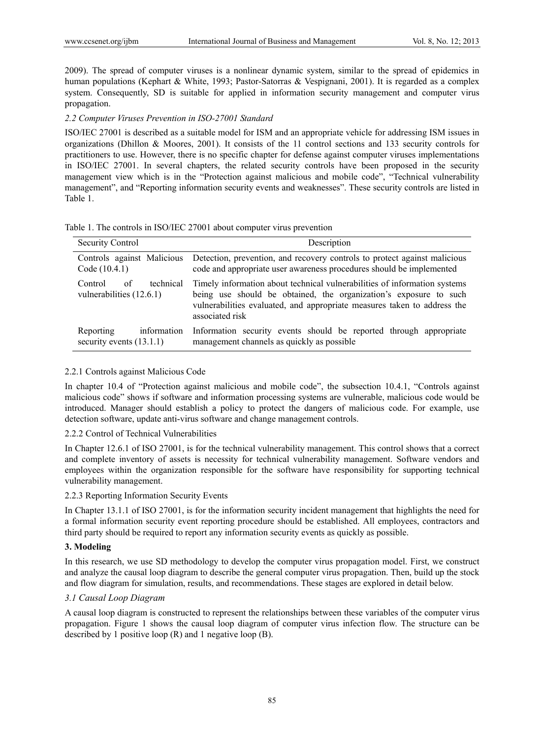2009). The spread of computer viruses is a nonlinear dynamic system, similar to the spread of epidemics in human populations (Kephart & White, 1993; Pastor-Satorras & Vespignani, 2001). It is regarded as a complex system. Consequently, SD is suitable for applied in information security management and computer virus propagation.

#### *2.2 Computer Viruses Prevention in ISO-27001 Standard*

ISO/IEC 27001 is described as a suitable model for ISM and an appropriate vehicle for addressing ISM issues in organizations (Dhillon & Moores, 2001). It consists of the 11 control sections and 133 security controls for practitioners to use. However, there is no specific chapter for defense against computer viruses implementations in ISO/IEC 27001. In several chapters, the related security controls have been proposed in the security management view which is in the "Protection against malicious and mobile code", "Technical vulnerability management", and "Reporting information security events and weaknesses". These security controls are listed in Table 1.

| Table 1. The controls in ISO/IEC 27001 about computer virus prevention |  |  |  |  |  |
|------------------------------------------------------------------------|--|--|--|--|--|
|------------------------------------------------------------------------|--|--|--|--|--|

| <b>Security Control</b>                                | Description                                                                                                      |  |  |
|--------------------------------------------------------|------------------------------------------------------------------------------------------------------------------|--|--|
| Controls against Malicious                             | Detection, prevention, and recovery controls to protect against malicious                                        |  |  |
| Code (10.4.1)                                          | code and appropriate user awareness procedures should be implemented                                             |  |  |
| technical                                              | Timely information about technical vulnerabilities of information systems                                        |  |  |
| Control                                                | being use should be obtained, the organization's exposure to such                                                |  |  |
| of                                                     | vulnerabilities evaluated, and appropriate measures taken to address the                                         |  |  |
| vulnerabilities (12.6.1)                               | associated risk                                                                                                  |  |  |
| information<br>Reporting<br>security events $(13.1.1)$ | Information security events should be reported through appropriate<br>management channels as quickly as possible |  |  |

#### 2.2.1 Controls against Malicious Code

In chapter 10.4 of "Protection against malicious and mobile code", the subsection 10.4.1, "Controls against malicious code" shows if software and information processing systems are vulnerable, malicious code would be introduced. Manager should establish a policy to protect the dangers of malicious code. For example, use detection software, update anti-virus software and change management controls.

## 2.2.2 Control of Technical Vulnerabilities

In Chapter 12.6.1 of ISO 27001, is for the technical vulnerability management. This control shows that a correct and complete inventory of assets is necessity for technical vulnerability management. Software vendors and employees within the organization responsible for the software have responsibility for supporting technical vulnerability management.

#### 2.2.3 Reporting Information Security Events

In Chapter 13.1.1 of ISO 27001, is for the information security incident management that highlights the need for a formal information security event reporting procedure should be established. All employees, contractors and third party should be required to report any information security events as quickly as possible.

### **3. Modeling**

In this research, we use SD methodology to develop the computer virus propagation model. First, we construct and analyze the causal loop diagram to describe the general computer virus propagation. Then, build up the stock and flow diagram for simulation, results, and recommendations. These stages are explored in detail below.

## *3.1 Causal Loop Diagram*

A causal loop diagram is constructed to represent the relationships between these variables of the computer virus propagation. Figure 1 shows the causal loop diagram of computer virus infection flow. The structure can be described by 1 positive loop (R) and 1 negative loop (B).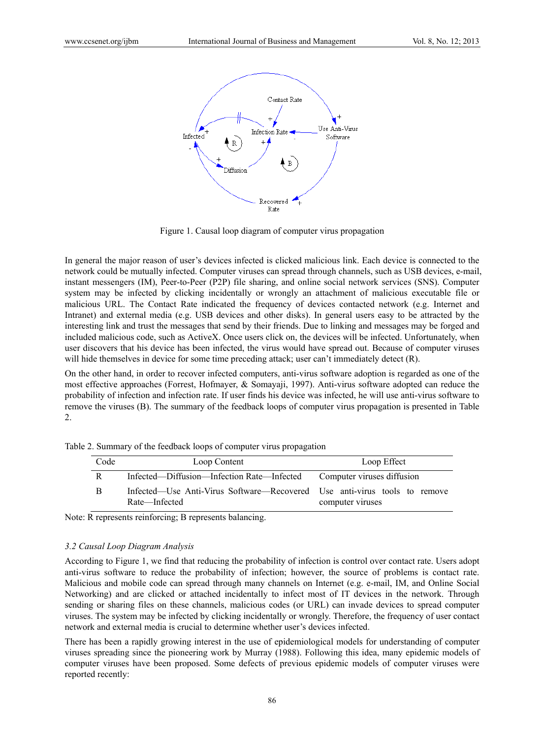

Figure 1. Causal loop diagram of computer virus propagation

In general the major reason of user's devices infected is clicked malicious link. Each device is connected to the network could be mutually infected. Computer viruses can spread through channels, such as USB devices, e-mail, instant messengers (IM), Peer-to-Peer (P2P) file sharing, and online social network services (SNS). Computer system may be infected by clicking incidentally or wrongly an attachment of malicious executable file or malicious URL. The Contact Rate indicated the frequency of devices contacted network (e.g. Internet and Intranet) and external media (e.g. USB devices and other disks). In general users easy to be attracted by the interesting link and trust the messages that send by their friends. Due to linking and messages may be forged and included malicious code, such as ActiveX. Once users click on, the devices will be infected. Unfortunately, when user discovers that his device has been infected, the virus would have spread out. Because of computer viruses will hide themselves in device for some time preceding attack; user can't immediately detect (R).

On the other hand, in order to recover infected computers, anti-virus software adoption is regarded as one of the most effective approaches (Forrest, Hofmayer, & Somayaji, 1997). Anti-virus software adopted can reduce the probability of infection and infection rate. If user finds his device was infected, he will use anti-virus software to remove the viruses (B). The summary of the feedback loops of computer virus propagation is presented in Table 2.

| Code | Loop Content                                                                               | Loop Effect                |  |  |
|------|--------------------------------------------------------------------------------------------|----------------------------|--|--|
| R    | Infected—Diffusion—Infection Rate—Infected                                                 | Computer viruses diffusion |  |  |
| В    | Infected—Use Anti-Virus Software—Recovered Use anti-virus tools to remove<br>Rate—Infected | computer viruses           |  |  |

Table 2. Summary of the feedback loops of computer virus propagation

Note: R represents reinforcing; B represents balancing.

## *3.2 Causal Loop Diagram Analysis*

According to Figure 1, we find that reducing the probability of infection is control over contact rate. Users adopt anti-virus software to reduce the probability of infection; however, the source of problems is contact rate. Malicious and mobile code can spread through many channels on Internet (e.g. e-mail, IM, and Online Social Networking) and are clicked or attached incidentally to infect most of IT devices in the network. Through sending or sharing files on these channels, malicious codes (or URL) can invade devices to spread computer viruses. The system may be infected by clicking incidentally or wrongly. Therefore, the frequency of user contact network and external media is crucial to determine whether user's devices infected.

There has been a rapidly growing interest in the use of epidemiological models for understanding of computer viruses spreading since the pioneering work by Murray (1988). Following this idea, many epidemic models of computer viruses have been proposed. Some defects of previous epidemic models of computer viruses were reported recently: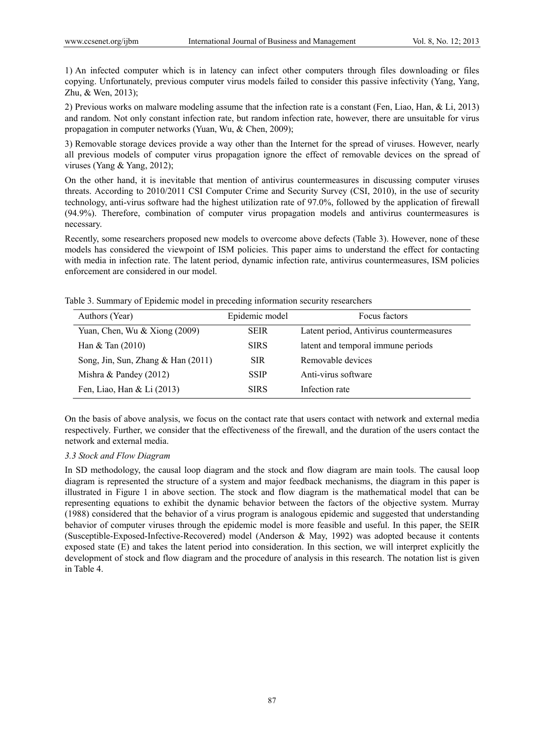1) An infected computer which is in latency can infect other computers through files downloading or files copying. Unfortunately, previous computer virus models failed to consider this passive infectivity (Yang, Yang, Zhu, & Wen, 2013);

2) Previous works on malware modeling assume that the infection rate is a constant (Fen, Liao, Han, & Li, 2013) and random. Not only constant infection rate, but random infection rate, however, there are unsuitable for virus propagation in computer networks (Yuan, Wu, & Chen, 2009);

3) Removable storage devices provide a way other than the Internet for the spread of viruses. However, nearly all previous models of computer virus propagation ignore the effect of removable devices on the spread of viruses (Yang & Yang, 2012);

On the other hand, it is inevitable that mention of antivirus countermeasures in discussing computer viruses threats. According to 2010/2011 CSI Computer Crime and Security Survey (CSI, 2010), in the use of security technology, anti-virus software had the highest utilization rate of 97.0%, followed by the application of firewall (94.9%). Therefore, combination of computer virus propagation models and antivirus countermeasures is necessary.

Recently, some researchers proposed new models to overcome above defects (Table 3). However, none of these models has considered the viewpoint of ISM policies. This paper aims to understand the effect for contacting with media in infection rate. The latent period, dynamic infection rate, antivirus countermeasures, ISM policies enforcement are considered in our model.

| Table 3. Summary of Epidemic model in preceding information security researchers |  |  |  |
|----------------------------------------------------------------------------------|--|--|--|
|                                                                                  |  |  |  |

| Authors (Year)                     | Epidemic model | Focus factors                            |
|------------------------------------|----------------|------------------------------------------|
| Yuan, Chen, Wu $& Xiong (2009)$    | <b>SEIR</b>    | Latent period, Antivirus countermeasures |
| Han $&$ Tan (2010)                 | <b>SIRS</b>    | latent and temporal immune periods       |
| Song, Jin, Sun, Zhang & Han (2011) | <b>SIR</b>     | Removable devices                        |
| Mishra & Pandey $(2012)$           | <b>SSIP</b>    | Anti-virus software                      |
| Fen, Liao, Han & Li (2013)         | <b>SIRS</b>    | Infection rate                           |

On the basis of above analysis, we focus on the contact rate that users contact with network and external media respectively. Further, we consider that the effectiveness of the firewall, and the duration of the users contact the network and external media.

#### *3.3 Stock and Flow Diagram*

In SD methodology, the causal loop diagram and the stock and flow diagram are main tools. The causal loop diagram is represented the structure of a system and major feedback mechanisms, the diagram in this paper is illustrated in Figure 1 in above section. The stock and flow diagram is the mathematical model that can be representing equations to exhibit the dynamic behavior between the factors of the objective system. Murray (1988) considered that the behavior of a virus program is analogous epidemic and suggested that understanding behavior of computer viruses through the epidemic model is more feasible and useful. In this paper, the SEIR (Susceptible-Exposed-Infective-Recovered) model (Anderson & May, 1992) was adopted because it contents exposed state (E) and takes the latent period into consideration. In this section, we will interpret explicitly the development of stock and flow diagram and the procedure of analysis in this research. The notation list is given in Table 4.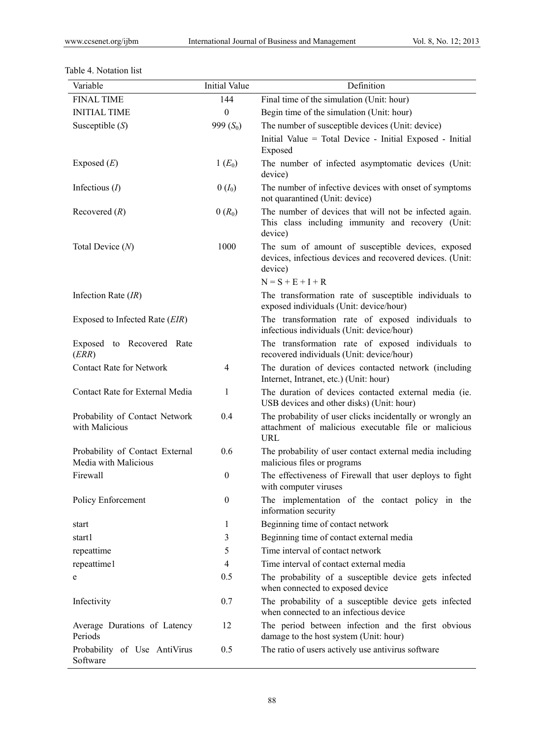| Variable                                                | <b>Initial Value</b> | Definition                                                                                                                      |
|---------------------------------------------------------|----------------------|---------------------------------------------------------------------------------------------------------------------------------|
| <b>FINAL TIME</b>                                       | 144                  | Final time of the simulation (Unit: hour)                                                                                       |
| <b>INITIAL TIME</b>                                     | $\boldsymbol{0}$     | Begin time of the simulation (Unit: hour)                                                                                       |
| Susceptible $(S)$                                       | 999 $(S_0)$          | The number of susceptible devices (Unit: device)                                                                                |
|                                                         |                      | Initial Value = Total Device - Initial Exposed - Initial<br>Exposed                                                             |
| Exposed $(E)$                                           | $1(E_0)$             | The number of infected asymptomatic devices (Unit:<br>device)                                                                   |
| Infectious $(I)$                                        | $0(I_0)$             | The number of infective devices with onset of symptoms<br>not quarantined (Unit: device)                                        |
| Recovered $(R)$                                         | $0(R_0)$             | The number of devices that will not be infected again.<br>This class including immunity and recovery (Unit:<br>device)          |
| Total Device $(N)$                                      | 1000                 | The sum of amount of susceptible devices, exposed<br>devices, infectious devices and recovered devices. (Unit:<br>device)       |
|                                                         |                      | $N = S + E + I + R$                                                                                                             |
| Infection Rate $(IR)$                                   |                      | The transformation rate of susceptible individuals to<br>exposed individuals (Unit: device/hour)                                |
| Exposed to Infected Rate (EIR)                          |                      | The transformation rate of exposed individuals to<br>infectious individuals (Unit: device/hour)                                 |
| Exposed to Recovered Rate<br>(ERR)                      |                      | The transformation rate of exposed individuals to<br>recovered individuals (Unit: device/hour)                                  |
| <b>Contact Rate for Network</b>                         | $\overline{4}$       | The duration of devices contacted network (including<br>Internet, Intranet, etc.) (Unit: hour)                                  |
| Contact Rate for External Media                         | 1                    | The duration of devices contacted external media (ie.<br>USB devices and other disks) (Unit: hour)                              |
| Probability of Contact Network<br>with Malicious        | 0.4                  | The probability of user clicks incidentally or wrongly an<br>attachment of malicious executable file or malicious<br><b>URL</b> |
| Probability of Contact External<br>Media with Malicious | 0.6                  | The probability of user contact external media including<br>malicious files or programs                                         |
| Firewall                                                | $\mathbf{0}$         | The effectiveness of Firewall that user deploys to fight<br>with computer viruses                                               |
| Policy Enforcement                                      | $\boldsymbol{0}$     | The implementation of the contact policy in the<br>information security                                                         |
| start                                                   | 1                    | Beginning time of contact network                                                                                               |
| start1                                                  | 3                    | Beginning time of contact external media                                                                                        |
| repeattime                                              | 5                    | Time interval of contact network                                                                                                |
| repeattime1                                             | $\overline{4}$       | Time interval of contact external media                                                                                         |
| e                                                       | 0.5                  | The probability of a susceptible device gets infected<br>when connected to exposed device                                       |
| Infectivity                                             | 0.7                  | The probability of a susceptible device gets infected<br>when connected to an infectious device                                 |
| Average Durations of Latency<br>Periods                 | 12                   | The period between infection and the first obvious<br>damage to the host system (Unit: hour)                                    |
| Probability of Use AntiVirus<br>Software                | 0.5                  | The ratio of users actively use antivirus software                                                                              |

# Table 4. Notation list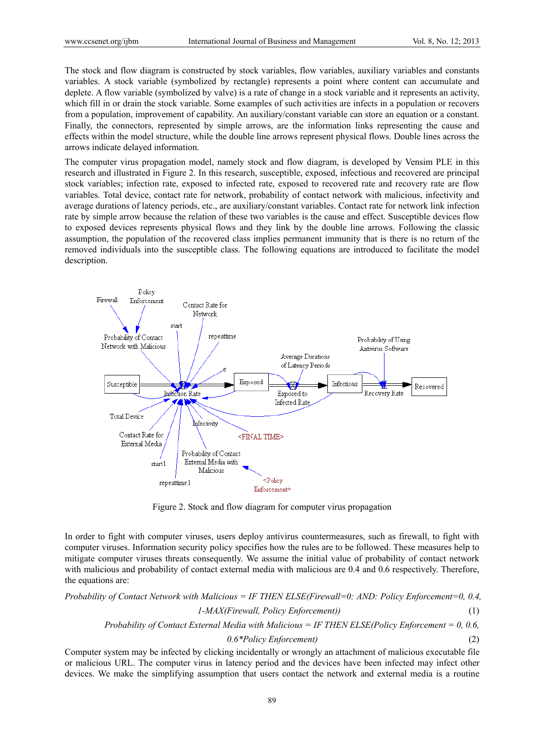The stock and flow diagram is constructed by stock variables, flow variables, auxiliary variables and constants variables. A stock variable (symbolized by rectangle) represents a point where content can accumulate and deplete. A flow variable (symbolized by valve) is a rate of change in a stock variable and it represents an activity, which fill in or drain the stock variable. Some examples of such activities are infects in a population or recovers from a population, improvement of capability. An auxiliary/constant variable can store an equation or a constant. Finally, the connectors, represented by simple arrows, are the information links representing the cause and effects within the model structure, while the double line arrows represent physical flows. Double lines across the arrows indicate delayed information.

The computer virus propagation model, namely stock and flow diagram, is developed by Vensim PLE in this research and illustrated in Figure 2. In this research, susceptible, exposed, infectious and recovered are principal stock variables; infection rate, exposed to infected rate, exposed to recovered rate and recovery rate are flow variables. Total device, contact rate for network, probability of contact network with malicious, infectivity and average durations of latency periods, etc., are auxiliary/constant variables. Contact rate for network link infection rate by simple arrow because the relation of these two variables is the cause and effect. Susceptible devices flow to exposed devices represents physical flows and they link by the double line arrows. Following the classic assumption, the population of the recovered class implies permanent immunity that is there is no return of the removed individuals into the susceptible class. The following equations are introduced to facilitate the model description.



Figure 2. Stock and flow diagram for computer virus propagation

In order to fight with computer viruses, users deploy antivirus countermeasures, such as firewall, to fight with computer viruses. Information security policy specifies how the rules are to be followed. These measures help to mitigate computer viruses threats consequently. We assume the initial value of probability of contact network with malicious and probability of contact external media with malicious are 0.4 and 0.6 respectively. Therefore, the equations are:

*Probability of Contact Network with Malicious = IF THEN ELSE(Firewall=0: AND: Policy Enforcement=0, 0.4, 1-MAX(Firewall, Policy Enforcement))* (1) *Probability of Contact External Media with Malicious = IF THEN ELSE(Policy Enforcement = 0, 0.6, 0.6\*Policy Enforcement)* (2)

Computer system may be infected by clicking incidentally or wrongly an attachment of malicious executable file or malicious URL. The computer virus in latency period and the devices have been infected may infect other devices. We make the simplifying assumption that users contact the network and external media is a routine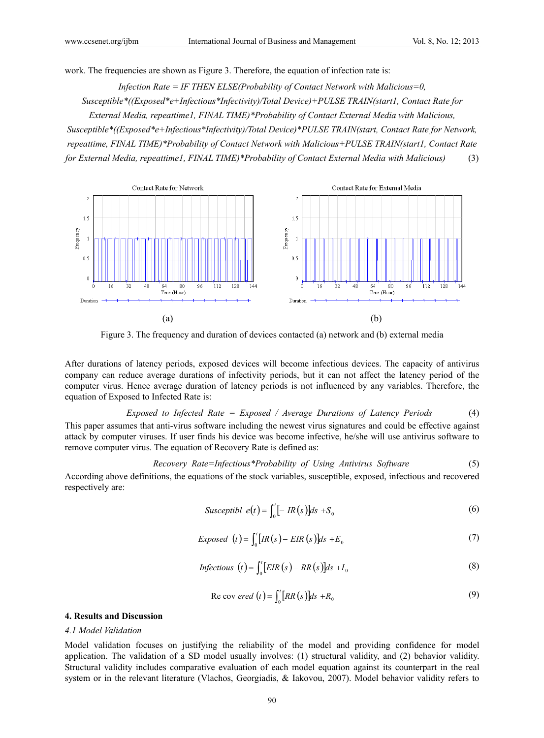work. The frequencies are shown as Figure 3. Therefore, the equation of infection rate is:

*Infection Rate = IF THEN ELSE(Probability of Contact Network with Malicious=0,* 

*Susceptible\*((Exposed\*e+Infectious\*Infectivity)/Total Device)+PULSE TRAIN(start1, Contact Rate for* 

*External Media, repeattime1, FINAL TIME)\*Probability of Contact External Media with Malicious, Susceptible\*((Exposed\*e+Infectious\*Infectivity)/Total Device)\*PULSE TRAIN(start, Contact Rate for Network, repeattime, FINAL TIME)\*Probability of Contact Network with Malicious+PULSE TRAIN(start1, Contact Rate for External Media, repeattime1, FINAL TIME)\*Probability of Contact External Media with Malicious)* (3)



Figure 3. The frequency and duration of devices contacted (a) network and (b) external media

After durations of latency periods, exposed devices will become infectious devices. The capacity of antivirus company can reduce average durations of infectivity periods, but it can not affect the latency period of the computer virus. Hence average duration of latency periods is not influenced by any variables. Therefore, the equation of Exposed to Infected Rate is:

*Exposed to Infected Rate = Exposed / Average Durations of Latency Periods* (4) This paper assumes that anti-virus software including the newest virus signatures and could be effective against attack by computer viruses. If user finds his device was become infective, he/she will use antivirus software to remove computer virus. The equation of Recovery Rate is defined as:

*Recovery Rate=Infectious\*Probability of Using Antivirus Software* (5)

According above definitions, the equations of the stock variables, susceptible, exposed, infectious and recovered respectively are:

$$
Susceptibl \ e(t) = \int_0^t [-IR(s)]ds + S_0 \tag{6}
$$

$$
Exposed \t(t) = \int_0^t [IR(s) - EIR(s)]ds + E_0
$$
\t(7)

$$
Infectious (t) = \int_0^t [EIR(s) - RR(s)]ds + I_0
$$
\n(8)

$$
\text{Re cov } \text{ered } (t) = \int_0^t [RR(s)]ds + R_0 \tag{9}
$$

### **4. Results and Discussion**

#### *4.1 Model Validation*

Model validation focuses on justifying the reliability of the model and providing confidence for model application. The validation of a SD model usually involves: (1) structural validity, and (2) behavior validity. Structural validity includes comparative evaluation of each model equation against its counterpart in the real system or in the relevant literature (Vlachos, Georgiadis, & Iakovou, 2007). Model behavior validity refers to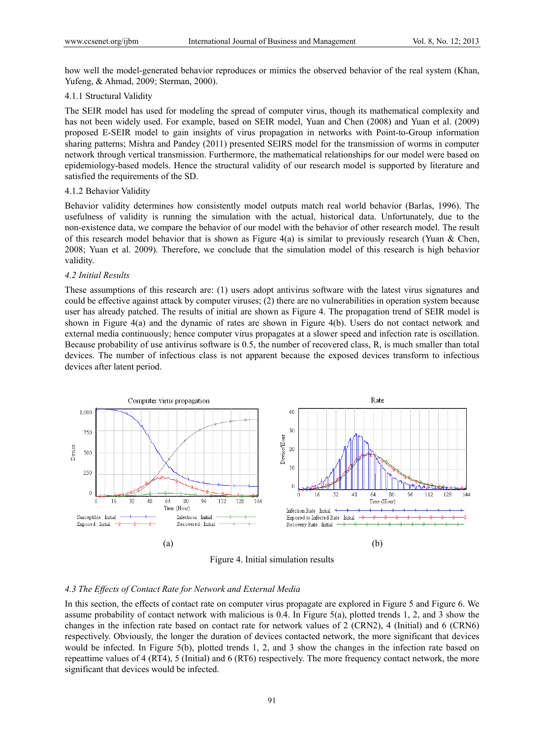how well the model-generated behavior reproduces or mimics the observed behavior of the real system (Khan, Yufeng, & Ahmad, 2009; Sterman, 2000).

#### 4.1.1 Structural Validity

The SEIR model has used for modeling the spread of computer virus, though its mathematical complexity and has not been widely used. For example, based on SEIR model, Yuan and Chen (2008) and Yuan et al. (2009) proposed E-SEIR model to gain insights of virus propagation in networks with Point-to-Group information sharing patterns; Mishra and Pandey (2011) presented SEIRS model for the transmission of worms in computer network through vertical transmission. Furthermore, the mathematical relationships for our model were based on epidemiology-based models. Hence the structural validity of our research model is supported by literature and satisfied the requirements of the SD.

#### 4.1.2 Behavior Validity

Behavior validity determines how consistently model outputs match real world behavior (Barlas, 1996). The usefulness of validity is running the simulation with the actual, historical data. Unfortunately, due to the non-existence data, we compare the behavior of our model with the behavior of other research model. The result of this research model behavior that is shown as Figure 4(a) is similar to previously research (Yuan & Chen, 2008; Yuan et al. 2009). Therefore, we conclude that the simulation model of this research is high behavior validity.

#### *4.2 Initial Results*

These assumptions of this research are: (1) users adopt antivirus software with the latest virus signatures and could be effective against attack by computer viruses; (2) there are no vulnerabilities in operation system because user has already patched. The results of initial are shown as Figure 4. The propagation trend of SEIR model is shown in Figure 4(a) and the dynamic of rates are shown in Figure 4(b). Users do not contact network and external media continuously; hence computer virus propagates at a slower speed and infection rate is oscillation. Because probability of use antivirus software is 0.5, the number of recovered class, R, is much smaller than total devices. The number of infectious class is not apparent because the exposed devices transform to infectious devices after latent period.



Figure 4. Initial simulation results

#### *4.3 The Effects of Contact Rate for Network and External Media*

In this section, the effects of contact rate on computer virus propagate are explored in Figure 5 and Figure 6. We assume probability of contact network with malicious is 0.4. In Figure 5(a), plotted trends 1, 2, and 3 show the changes in the infection rate based on contact rate for network values of 2 (CRN2), 4 (Initial) and 6 (CRN6) respectively. Obviously, the longer the duration of devices contacted network, the more significant that devices would be infected. In Figure 5(b), plotted trends 1, 2, and 3 show the changes in the infection rate based on repeattime values of 4 (RT4), 5 (Initial) and 6 (RT6) respectively. The more frequency contact network, the more significant that devices would be infected.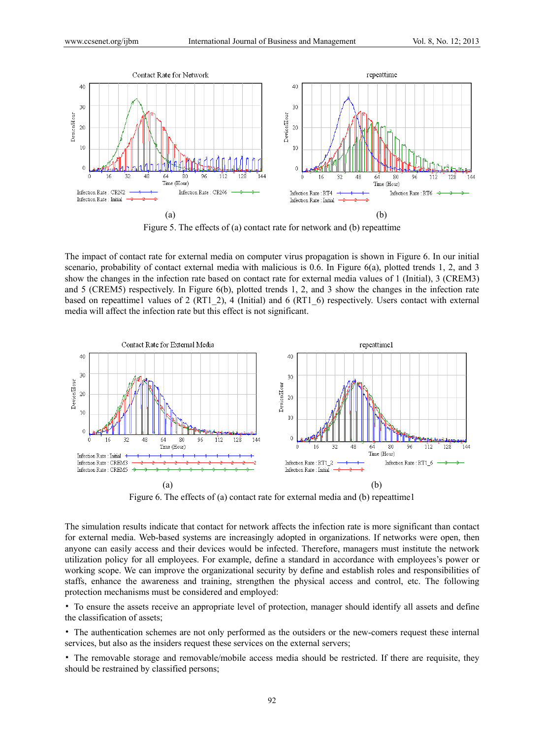

Figure 5. The effects of (a) contact rate for network and (b) repeattime

The impact of contact rate for external media on computer virus propagation is shown in Figure 6. In our initial scenario, probability of contact external media with malicious is 0.6. In Figure 6(a), plotted trends 1, 2, and 3 show the changes in the infection rate based on contact rate for external media values of 1 (Initial), 3 (CREM3) and 5 (CREM5) respectively. In Figure 6(b), plotted trends 1, 2, and 3 show the changes in the infection rate based on repeattime1 values of 2 (RT1\_2), 4 (Initial) and 6 (RT1\_6) respectively. Users contact with external media will affect the infection rate but this effect is not significant.



Figure 6. The effects of (a) contact rate for external media and (b) repeattime1

The simulation results indicate that contact for network affects the infection rate is more significant than contact for external media. Web-based systems are increasingly adopted in organizations. If networks were open, then anyone can easily access and their devices would be infected. Therefore, managers must institute the network utilization policy for all employees. For example, define a standard in accordance with employees's power or working scope. We can improve the organizational security by define and establish roles and responsibilities of staffs, enhance the awareness and training, strengthen the physical access and control, etc. The following protection mechanisms must be considered and employed:

• To ensure the assets receive an appropriate level of protection, manager should identify all assets and define the classification of assets;

• The authentication schemes are not only performed as the outsiders or the new-comers request these internal services, but also as the insiders request these services on the external servers;

• The removable storage and removable/mobile access media should be restricted. If there are requisite, they should be restrained by classified persons;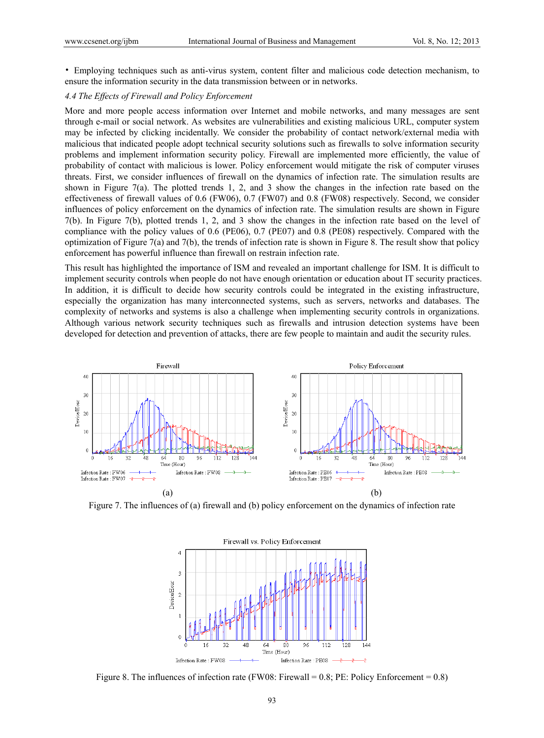• Employing techniques such as anti-virus system, content filter and malicious code detection mechanism, to ensure the information security in the data transmission between or in networks.

## *4.4 The Effects of Firewall and Policy Enforcement*

More and more people access information over Internet and mobile networks, and many messages are sent through e-mail or social network. As websites are vulnerabilities and existing malicious URL, computer system may be infected by clicking incidentally. We consider the probability of contact network/external media with malicious that indicated people adopt technical security solutions such as firewalls to solve information security problems and implement information security policy. Firewall are implemented more efficiently, the value of probability of contact with malicious is lower. Policy enforcement would mitigate the risk of computer viruses threats. First, we consider influences of firewall on the dynamics of infection rate. The simulation results are shown in Figure 7(a). The plotted trends 1, 2, and 3 show the changes in the infection rate based on the effectiveness of firewall values of 0.6 (FW06), 0.7 (FW07) and 0.8 (FW08) respectively. Second, we consider influences of policy enforcement on the dynamics of infection rate. The simulation results are shown in Figure 7(b). In Figure 7(b), plotted trends 1, 2, and 3 show the changes in the infection rate based on the level of compliance with the policy values of 0.6 (PE06), 0.7 (PE07) and 0.8 (PE08) respectively. Compared with the optimization of Figure 7(a) and 7(b), the trends of infection rate is shown in Figure 8. The result show that policy enforcement has powerful influence than firewall on restrain infection rate.

This result has highlighted the importance of ISM and revealed an important challenge for ISM. It is difficult to implement security controls when people do not have enough orientation or education about IT security practices. In addition, it is difficult to decide how security controls could be integrated in the existing infrastructure, especially the organization has many interconnected systems, such as servers, networks and databases. The complexity of networks and systems is also a challenge when implementing security controls in organizations. Although various network security techniques such as firewalls and intrusion detection systems have been developed for detection and prevention of attacks, there are few people to maintain and audit the security rules.



Figure 7. The influences of (a) firewall and (b) policy enforcement on the dynamics of infection rate



Figure 8. The influences of infection rate (FW08: Firewall = 0.8; PE: Policy Enforcement = 0.8)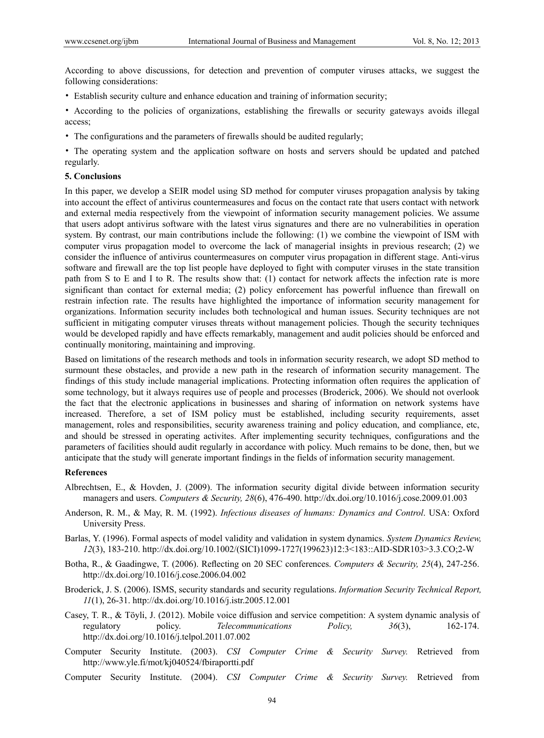According to above discussions, for detection and prevention of computer viruses attacks, we suggest the following considerations:

• Establish security culture and enhance education and training of information security;

• According to the policies of organizations, establishing the firewalls or security gateways avoids illegal access;

• The configurations and the parameters of firewalls should be audited regularly;

• The operating system and the application software on hosts and servers should be updated and patched regularly.

#### **5. Conclusions**

In this paper, we develop a SEIR model using SD method for computer viruses propagation analysis by taking into account the effect of antivirus countermeasures and focus on the contact rate that users contact with network and external media respectively from the viewpoint of information security management policies. We assume that users adopt antivirus software with the latest virus signatures and there are no vulnerabilities in operation system. By contrast, our main contributions include the following: (1) we combine the viewpoint of ISM with computer virus propagation model to overcome the lack of managerial insights in previous research; (2) we consider the influence of antivirus countermeasures on computer virus propagation in different stage. Anti-virus software and firewall are the top list people have deployed to fight with computer viruses in the state transition path from S to E and I to R. The results show that: (1) contact for network affects the infection rate is more significant than contact for external media; (2) policy enforcement has powerful influence than firewall on restrain infection rate. The results have highlighted the importance of information security management for organizations. Information security includes both technological and human issues. Security techniques are not sufficient in mitigating computer viruses threats without management policies. Though the security techniques would be developed rapidly and have effects remarkably, management and audit policies should be enforced and continually monitoring, maintaining and improving.

Based on limitations of the research methods and tools in information security research, we adopt SD method to surmount these obstacles, and provide a new path in the research of information security management. The findings of this study include managerial implications. Protecting information often requires the application of some technology, but it always requires use of people and processes (Broderick, 2006). We should not overlook the fact that the electronic applications in businesses and sharing of information on network systems have increased. Therefore, a set of ISM policy must be established, including security requirements, asset management, roles and responsibilities, security awareness training and policy education, and compliance, etc, and should be stressed in operating activites. After implementing security techniques, configurations and the parameters of facilities should audit regularly in accordance with policy. Much remains to be done, then, but we anticipate that the study will generate important findings in the fields of information security management.

#### **References**

- Albrechtsen, E., & Hovden, J. (2009). The information security digital divide between information security managers and users. *Computers & Security, 28*(6), 476-490. http://dx.doi.org/10.1016/j.cose.2009.01.003
- Anderson, R. M., & May, R. M. (1992). *Infectious diseases of humans: Dynamics and Control*. USA: Oxford University Press.
- Barlas, Y. (1996). Formal aspects of model validity and validation in system dynamics. *System Dynamics Review, 12*(3), 183-210. http://dx.doi.org/10.1002/(SICI)1099-1727(199623)12:3<183::AID-SDR103>3.3.CO;2-W
- Botha, R., & Gaadingwe, T. (2006). Reflecting on 20 SEC conferences. *Computers & Security, 25*(4), 247-256. http://dx.doi.org/10.1016/j.cose.2006.04.002
- Broderick, J. S. (2006). ISMS, security standards and security regulations. *Information Security Technical Report, 11*(1), 26-31. http://dx.doi.org/10.1016/j.istr.2005.12.001
- Casey, T. R., & Töyli, J. (2012). Mobile voice diffusion and service competition: A system dynamic analysis of regulatory policy. *Telecommunications Policy, 36*(3), 162-174. http://dx.doi.org/10.1016/j.telpol.2011.07.002
- Computer Security Institute. (2003). *CSI Computer Crime & Security Survey.* Retrieved from http://www.yle.fi/mot/kj040524/fbiraportti.pdf
- Computer Security Institute. (2004). *CSI Computer Crime & Security Survey.* Retrieved from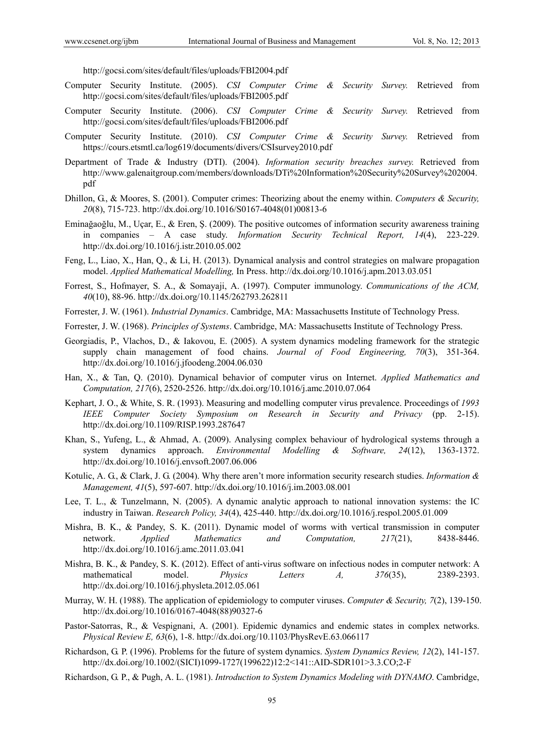http://gocsi.com/sites/default/files/uploads/FBI2004.pdf

- Computer Security Institute. (2005). *CSI Computer Crime & Security Survey.* Retrieved from http://gocsi.com/sites/default/files/uploads/FBI2005.pdf
- Computer Security Institute. (2006). *CSI Computer Crime & Security Survey.* Retrieved from http://gocsi.com/sites/default/files/uploads/FBI2006.pdf
- Computer Security Institute. (2010). *CSI Computer Crime & Security Survey.* Retrieved from https://cours.etsmtl.ca/log619/documents/divers/CSIsurvey2010.pdf
- Department of Trade & Industry (DTI). (2004). *Information security breaches survey.* Retrieved from http://www.galenaitgroup.com/members/downloads/DTi%20Information%20Security%20Survey%202004. pdf
- Dhillon, G., & Moores, S. (2001). Computer crimes: Theorizing about the enemy within. *Computers & Security, 20*(8), 715-723. http://dx.doi.org/10.1016/S0167-4048(01)00813-6
- Eminağaoğlu, M., Uçar, E., & Eren, Ş. (2009). The positive outcomes of information security awareness training in companies – A case study. *Information Security Technical Report, 14*(4), 223-229. http://dx.doi.org/10.1016/j.istr.2010.05.002
- Feng, L., Liao, X., Han, Q., & Li, H. (2013). Dynamical analysis and control strategies on malware propagation model. *Applied Mathematical Modelling,* In Press. http://dx.doi.org/10.1016/j.apm.2013.03.051
- Forrest, S., Hofmayer, S. A., & Somayaji, A. (1997). Computer immunology. *Communications of the ACM, 40*(10), 88-96. http://dx.doi.org/10.1145/262793.262811
- Forrester, J. W. (1961). *Industrial Dynamics*. Cambridge, MA: Massachusetts Institute of Technology Press.
- Forrester, J. W. (1968). *Principles of Systems*. Cambridge, MA: Massachusetts Institute of Technology Press.
- Georgiadis, P., Vlachos, D., & Iakovou, E. (2005). A system dynamics modeling framework for the strategic supply chain management of food chains. *Journal of Food Engineering, 70*(3), 351-364. http://dx.doi.org/10.1016/j.jfoodeng.2004.06.030
- Han, X., & Tan, Q. (2010). Dynamical behavior of computer virus on Internet. *Applied Mathematics and Computation, 217*(6), 2520-2526. http://dx.doi.org/10.1016/j.amc.2010.07.064
- Kephart, J. O., & White, S. R. (1993). Measuring and modelling computer virus prevalence. Proceedings of *1993 IEEE Computer Society Symposium on Research in Security and Privacy* (pp. 2-15). http://dx.doi.org/10.1109/RISP.1993.287647
- Khan, S., Yufeng, L., & Ahmad, A. (2009). Analysing complex behaviour of hydrological systems through a system dynamics approach. *Environmental Modelling & Software, 24*(12), 1363-1372. http://dx.doi.org/10.1016/j.envsoft.2007.06.006
- Kotulic, A. G., & Clark, J. G. (2004). Why there aren't more information security research studies. *Information & Management, 41*(5), 597-607. http://dx.doi.org/10.1016/j.im.2003.08.001
- Lee, T. L., & Tunzelmann, N. (2005). A dynamic analytic approach to national innovation systems: the IC industry in Taiwan. *Research Policy, 34*(4), 425-440. http://dx.doi.org/10.1016/j.respol.2005.01.009
- Mishra, B. K., & Pandey, S. K. (2011). Dynamic model of worms with vertical transmission in computer network. *Applied Mathematics and Computation, 217*(21), 8438-8446. http://dx.doi.org/10.1016/j.amc.2011.03.041
- Mishra, B. K., & Pandey, S. K. (2012). Effect of anti-virus software on infectious nodes in computer network: A mathematical model. *Physics Letters A, 376*(35), 2389-2393. http://dx.doi.org/10.1016/j.physleta.2012.05.061
- Murray, W. H. (1988). The application of epidemiology to computer viruses. *Computer & Security, 7*(2), 139-150. http://dx.doi.org/10.1016/0167-4048(88)90327-6
- Pastor-Satorras, R., & Vespignani, A. (2001). Epidemic dynamics and endemic states in complex networks. *Physical Review E, 63*(6), 1-8. http://dx.doi.org/10.1103/PhysRevE.63.066117
- Richardson, G. P. (1996). Problems for the future of system dynamics. *System Dynamics Review, 12*(2), 141-157. http://dx.doi.org/10.1002/(SICI)1099-1727(199622)12:2<141::AID-SDR101>3.3.CO;2-F
- Richardson, G. P., & Pugh, A. L. (1981). *Introduction to System Dynamics Modeling with DYNAMO*. Cambridge,